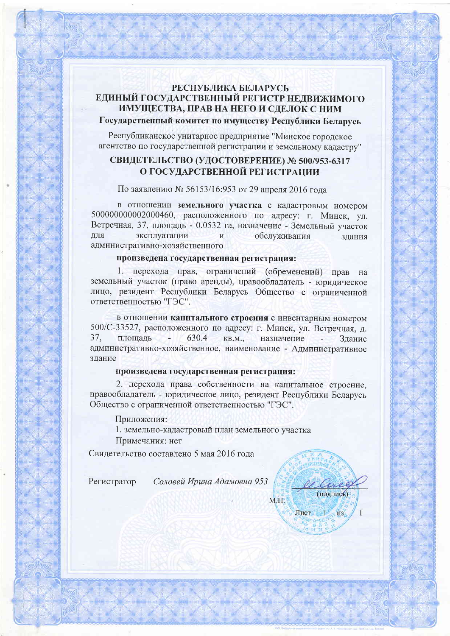### РЕСПУБЛИКА БЕЛАРУСЬ ЕДИНЫЙ ГОСУДАРСТВЕННЫЙ РЕГИСТР НЕДВИЖИМОГО ИМУЩЕСТВА, ПРАВ НА НЕГО И СДЕЛОК С НИМ Государственный комитет по имуществу Республики Беларусь

Республиканское унитарное предприятие "Минское городское агентство по государственной регистрации и земельному кадастру"

### СВИДЕТЕЛЬСТВО (УДОСТОВЕРЕНИЕ) № 500/953-6317 О ГОСУДАРСТВЕННОЙ РЕГИСТРАЦИИ

По заявлению № 56153/16:953 от 29 апреля 2016 года

в отношении земельного участка с кадастровым номером 500000000002000460, расположенного по адресу: г. Минск, ул. Встречная, 37, площадь - 0.0532 га, назначение - Земельный участок ДЛЯ эксплуатации обслуживания  $\overline{M}$ злания административно-хозяйственного

#### произведена государственная регистрация:

1. перехода прав, ограничений (обременений) прав на земельный участок (право аренды), правообладатель - юридическое лицо, резидент Республики Беларусь Общество с ограниченной ответственностью "ГЭС".

в отношении капитального строения с инвентарным номером 500/С-33527, расположенного по адресу: г. Минск, ул. Встречная, д. 37. 630.4 плошаль - 1  $KB.M...$ назначение Здание административно-хозяйственное, наименование - Административное злание

### произведена государственная регистрация:

2. перехода права собственности на капитальное строение. правообладатель - юридическое лицо, резидент Республики Беларусь Общество с ограниченной ответственностью "ГЭС".

Приложения:

1. земельно-кадастровый план земельного участка Примечания: нет

Свидетельство составлено 5 мая 2016 года

Регистратор

Соловей Ирина Адамовна 953